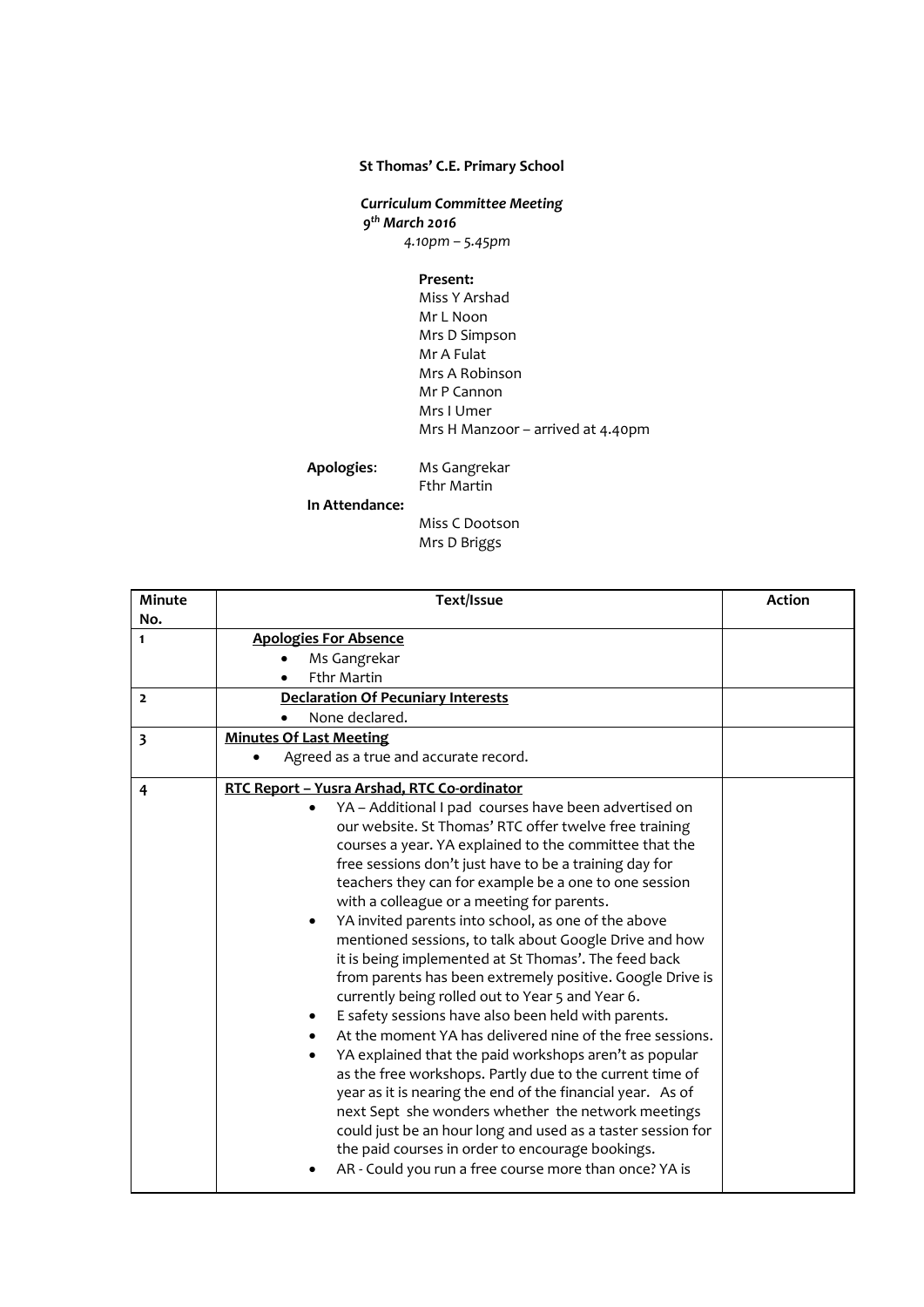## **St Thomas' C.E. Primary School**

*Curriculum Committee Meeting 9 th March 2016 4.10pm – 5.45pm*

**Present:**

Miss Y Arshad Mr L Noon Mrs D Simpson Mr A Fulat Mrs A Robinson Mr P Cannon Mrs I Umer Mrs H Manzoor – arrived at 4.40pm

**Apologies**: Ms Gangrekar Fthr Martin

**In Attendance:** 

Miss C Dootson Mrs D Briggs

| <b>Minute</b><br>No.    | Text/Issue                                                                                                                                                                                                                                                                                                                                                                                                                                                                                                                                                                                                                                                                                                                                                                                                                                                                                                                                                                                                                                                                                                                                                                                                                                  | <b>Action</b> |
|-------------------------|---------------------------------------------------------------------------------------------------------------------------------------------------------------------------------------------------------------------------------------------------------------------------------------------------------------------------------------------------------------------------------------------------------------------------------------------------------------------------------------------------------------------------------------------------------------------------------------------------------------------------------------------------------------------------------------------------------------------------------------------------------------------------------------------------------------------------------------------------------------------------------------------------------------------------------------------------------------------------------------------------------------------------------------------------------------------------------------------------------------------------------------------------------------------------------------------------------------------------------------------|---------------|
| $\mathbf{1}$            | <b>Apologies For Absence</b><br>Ms Gangrekar<br><b>Fthr Martin</b>                                                                                                                                                                                                                                                                                                                                                                                                                                                                                                                                                                                                                                                                                                                                                                                                                                                                                                                                                                                                                                                                                                                                                                          |               |
| $\overline{2}$          | <b>Declaration Of Pecuniary Interests</b><br>None declared.                                                                                                                                                                                                                                                                                                                                                                                                                                                                                                                                                                                                                                                                                                                                                                                                                                                                                                                                                                                                                                                                                                                                                                                 |               |
| $\overline{\mathbf{3}}$ | <b>Minutes Of Last Meeting</b><br>Agreed as a true and accurate record.                                                                                                                                                                                                                                                                                                                                                                                                                                                                                                                                                                                                                                                                                                                                                                                                                                                                                                                                                                                                                                                                                                                                                                     |               |
| 4                       | RTC Report - Yusra Arshad, RTC Co-ordinator<br>YA - Additional I pad courses have been advertised on<br>our website. St Thomas' RTC offer twelve free training<br>courses a year. YA explained to the committee that the<br>free sessions don't just have to be a training day for<br>teachers they can for example be a one to one session<br>with a colleague or a meeting for parents.<br>YA invited parents into school, as one of the above<br>$\bullet$<br>mentioned sessions, to talk about Google Drive and how<br>it is being implemented at St Thomas'. The feed back<br>from parents has been extremely positive. Google Drive is<br>currently being rolled out to Year 5 and Year 6.<br>E safety sessions have also been held with parents.<br>At the moment YA has delivered nine of the free sessions.<br>YA explained that the paid workshops aren't as popular<br>as the free workshops. Partly due to the current time of<br>year as it is nearing the end of the financial year. As of<br>next Sept she wonders whether the network meetings<br>could just be an hour long and used as a taster session for<br>the paid courses in order to encourage bookings.<br>AR - Could you run a free course more than once? YA is |               |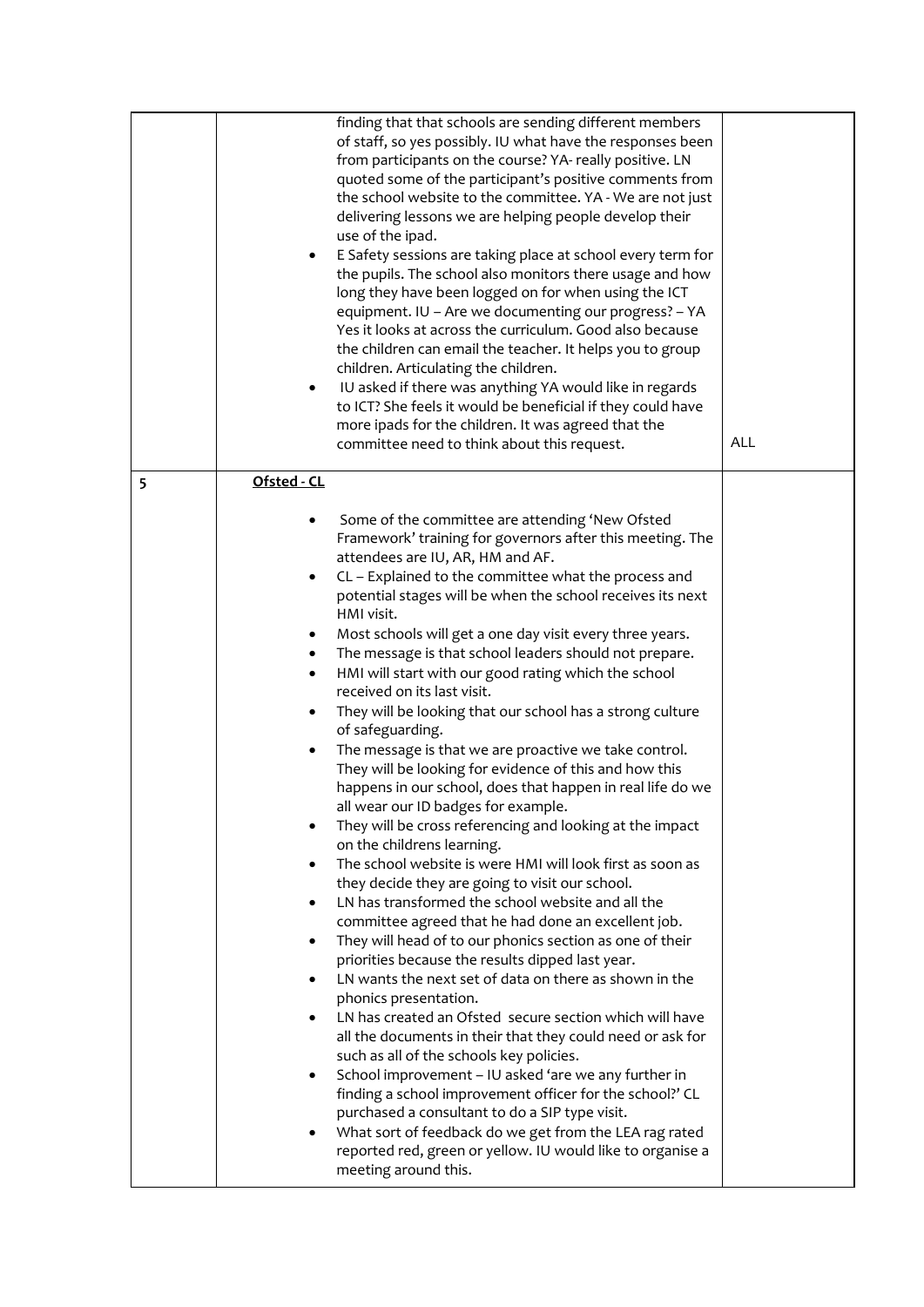|   | finding that that schools are sending different members<br>of staff, so yes possibly. IU what have the responses been<br>from participants on the course? YA- really positive. LN<br>quoted some of the participant's positive comments from<br>the school website to the committee. YA - We are not just<br>delivering lessons we are helping people develop their<br>use of the ipad.<br>E Safety sessions are taking place at school every term for<br>٠<br>the pupils. The school also monitors there usage and how<br>long they have been logged on for when using the ICT<br>equipment. IU - Are we documenting our progress? - YA<br>Yes it looks at across the curriculum. Good also because<br>the children can email the teacher. It helps you to group<br>children. Articulating the children.<br>IU asked if there was anything YA would like in regards<br>٠<br>to ICT? She feels it would be beneficial if they could have<br>more ipads for the children. It was agreed that the<br>committee need to think about this request.                                                                                                                                                                                                                                                                                                                                                                                                                                                                                                                                                                                                                                                                                                                                                                                                                                                             | <b>ALL</b> |  |
|---|------------------------------------------------------------------------------------------------------------------------------------------------------------------------------------------------------------------------------------------------------------------------------------------------------------------------------------------------------------------------------------------------------------------------------------------------------------------------------------------------------------------------------------------------------------------------------------------------------------------------------------------------------------------------------------------------------------------------------------------------------------------------------------------------------------------------------------------------------------------------------------------------------------------------------------------------------------------------------------------------------------------------------------------------------------------------------------------------------------------------------------------------------------------------------------------------------------------------------------------------------------------------------------------------------------------------------------------------------------------------------------------------------------------------------------------------------------------------------------------------------------------------------------------------------------------------------------------------------------------------------------------------------------------------------------------------------------------------------------------------------------------------------------------------------------------------------------------------------------------------------------------------------------|------------|--|
| 5 | Ofsted - CL                                                                                                                                                                                                                                                                                                                                                                                                                                                                                                                                                                                                                                                                                                                                                                                                                                                                                                                                                                                                                                                                                                                                                                                                                                                                                                                                                                                                                                                                                                                                                                                                                                                                                                                                                                                                                                                                                                |            |  |
|   | Some of the committee are attending 'New Ofsted<br>٠<br>Framework' training for governors after this meeting. The<br>attendees are IU, AR, HM and AF.<br>CL - Explained to the committee what the process and<br>٠<br>potential stages will be when the school receives its next<br>HMI visit.<br>Most schools will get a one day visit every three years.<br>The message is that school leaders should not prepare.<br>٠<br>HMI will start with our good rating which the school<br>٠<br>received on its last visit.<br>They will be looking that our school has a strong culture<br>٠<br>of safeguarding.<br>The message is that we are proactive we take control.<br>$\bullet$<br>They will be looking for evidence of this and how this<br>happens in our school, does that happen in real life do we<br>all wear our ID badges for example.<br>They will be cross referencing and looking at the impact<br>on the childrens learning.<br>The school website is were HMI will look first as soon as<br>$\bullet$<br>they decide they are going to visit our school.<br>LN has transformed the school website and all the<br>$\bullet$<br>committee agreed that he had done an excellent job.<br>They will head of to our phonics section as one of their<br>٠<br>priorities because the results dipped last year.<br>LN wants the next set of data on there as shown in the<br>$\bullet$<br>phonics presentation.<br>LN has created an Ofsted secure section which will have<br>$\bullet$<br>all the documents in their that they could need or ask for<br>such as all of the schools key policies.<br>School improvement - IU asked 'are we any further in<br>٠<br>finding a school improvement officer for the school?' CL<br>purchased a consultant to do a SIP type visit.<br>What sort of feedback do we get from the LEA rag rated<br>reported red, green or yellow. IU would like to organise a |            |  |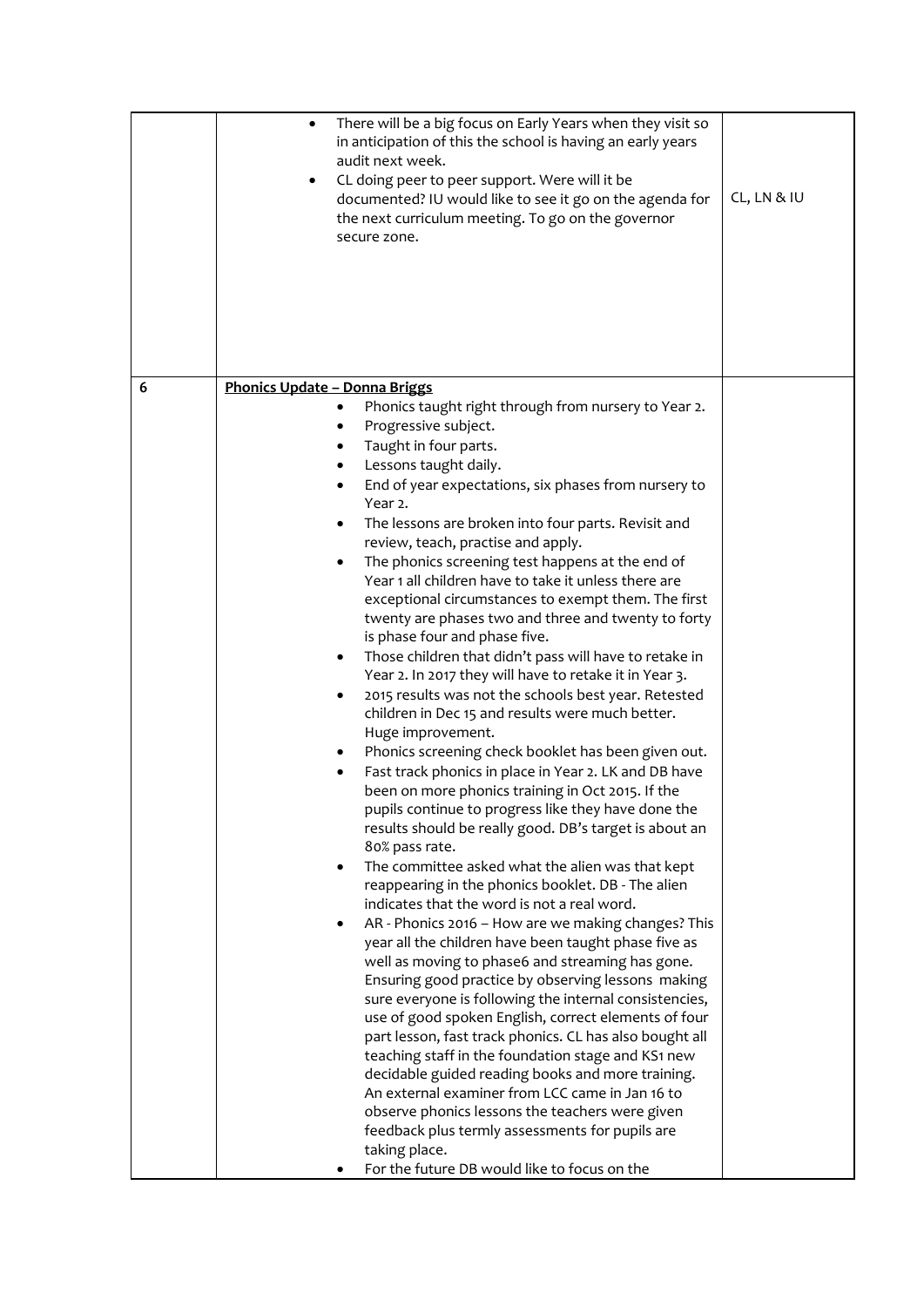|   | There will be a big focus on Early Years when they visit so<br>٠<br>in anticipation of this the school is having an early years<br>audit next week.<br>CL doing peer to peer support. Were will it be<br>$\bullet$<br>documented? IU would like to see it go on the agenda for<br>the next curriculum meeting. To go on the governor<br>secure zone.                                                                                                                                                                                                                                                                                                                                                                                                                                                                                                                                                                                                                                                                                                                                                                                                                                                                                                                                                                                                                                                                                                                                                                                                                                                                                                                                                                                                                                                                                                                                                                                                                                 | CL, LN & IU |
|---|--------------------------------------------------------------------------------------------------------------------------------------------------------------------------------------------------------------------------------------------------------------------------------------------------------------------------------------------------------------------------------------------------------------------------------------------------------------------------------------------------------------------------------------------------------------------------------------------------------------------------------------------------------------------------------------------------------------------------------------------------------------------------------------------------------------------------------------------------------------------------------------------------------------------------------------------------------------------------------------------------------------------------------------------------------------------------------------------------------------------------------------------------------------------------------------------------------------------------------------------------------------------------------------------------------------------------------------------------------------------------------------------------------------------------------------------------------------------------------------------------------------------------------------------------------------------------------------------------------------------------------------------------------------------------------------------------------------------------------------------------------------------------------------------------------------------------------------------------------------------------------------------------------------------------------------------------------------------------------------|-------------|
| 6 | <b>Phonics Update - Donna Briggs</b>                                                                                                                                                                                                                                                                                                                                                                                                                                                                                                                                                                                                                                                                                                                                                                                                                                                                                                                                                                                                                                                                                                                                                                                                                                                                                                                                                                                                                                                                                                                                                                                                                                                                                                                                                                                                                                                                                                                                                 |             |
|   | Phonics taught right through from nursery to Year 2.<br>Progressive subject.<br>Taught in four parts.<br>Lessons taught daily.<br>End of year expectations, six phases from nursery to<br>Year 2.<br>The lessons are broken into four parts. Revisit and<br>٠<br>review, teach, practise and apply.<br>The phonics screening test happens at the end of<br>٠<br>Year 1 all children have to take it unless there are<br>exceptional circumstances to exempt them. The first<br>twenty are phases two and three and twenty to forty<br>is phase four and phase five.<br>Those children that didn't pass will have to retake in<br>Year 2. In 2017 they will have to retake it in Year 3.<br>2015 results was not the schools best year. Retested<br>children in Dec 15 and results were much better.<br>Huge improvement.<br>Phonics screening check booklet has been given out.<br>Fast track phonics in place in Year 2. LK and DB have<br>been on more phonics training in Oct 2015. If the<br>pupils continue to progress like they have done the<br>results should be really good. DB's target is about an<br>80% pass rate.<br>The committee asked what the alien was that kept<br>reappearing in the phonics booklet. DB - The alien<br>indicates that the word is not a real word.<br>AR - Phonics 2016 - How are we making changes? This<br>year all the children have been taught phase five as<br>well as moving to phase6 and streaming has gone.<br>Ensuring good practice by observing lessons making<br>sure everyone is following the internal consistencies,<br>use of good spoken English, correct elements of four<br>part lesson, fast track phonics. CL has also bought all<br>teaching staff in the foundation stage and KS1 new<br>decidable guided reading books and more training.<br>An external examiner from LCC came in Jan 16 to<br>observe phonics lessons the teachers were given<br>feedback plus termly assessments for pupils are<br>taking place. |             |
|   | For the future DB would like to focus on the                                                                                                                                                                                                                                                                                                                                                                                                                                                                                                                                                                                                                                                                                                                                                                                                                                                                                                                                                                                                                                                                                                                                                                                                                                                                                                                                                                                                                                                                                                                                                                                                                                                                                                                                                                                                                                                                                                                                         |             |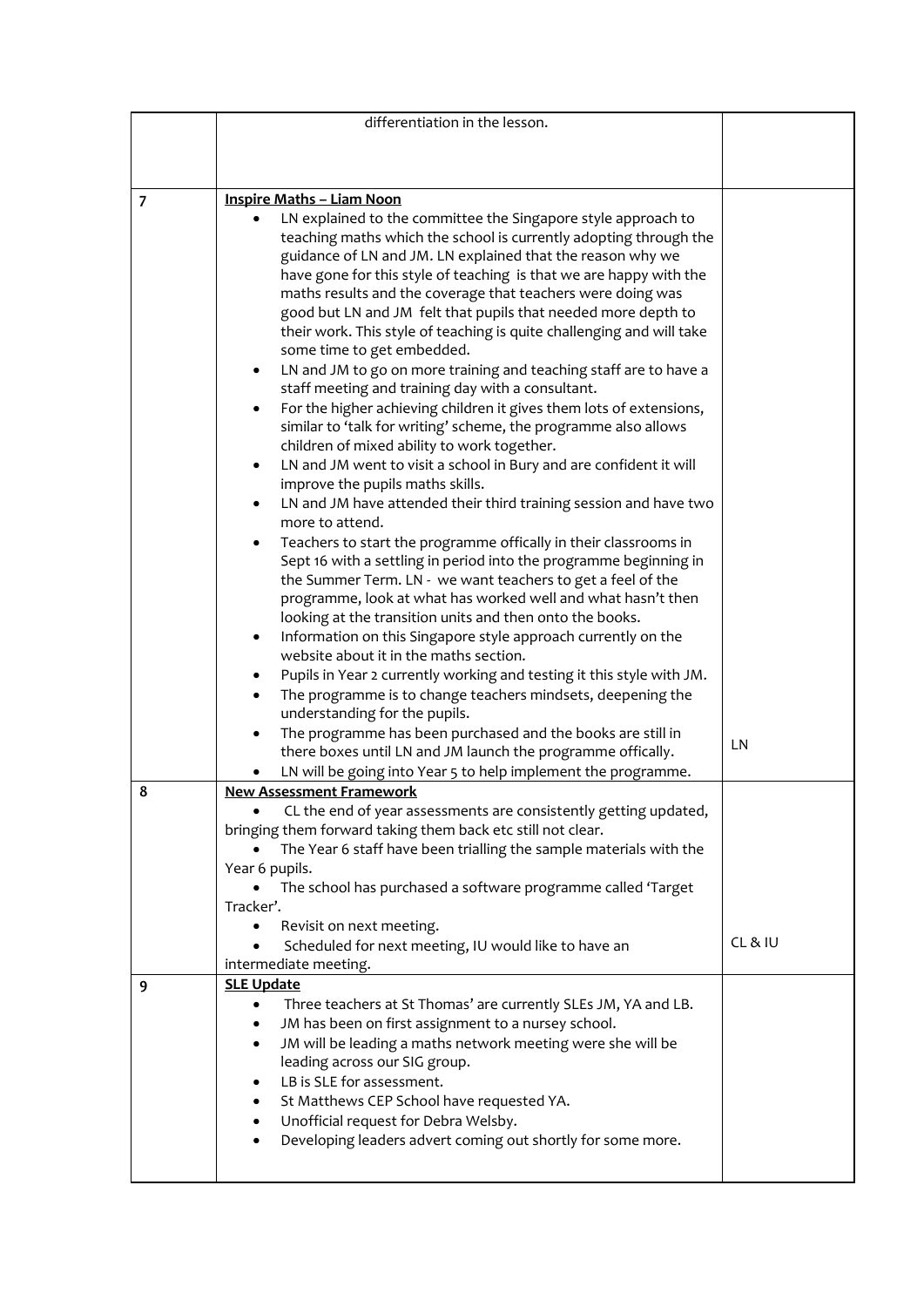|                | differentiation in the lesson.                                                                                                   |       |
|----------------|----------------------------------------------------------------------------------------------------------------------------------|-------|
|                |                                                                                                                                  |       |
|                |                                                                                                                                  |       |
|                |                                                                                                                                  |       |
| $\overline{7}$ | <b>Inspire Maths - Liam Noon</b>                                                                                                 |       |
|                | LN explained to the committee the Singapore style approach to                                                                    |       |
|                | teaching maths which the school is currently adopting through the                                                                |       |
|                | guidance of LN and JM. LN explained that the reason why we<br>have gone for this style of teaching is that we are happy with the |       |
|                | maths results and the coverage that teachers were doing was                                                                      |       |
|                | good but LN and JM felt that pupils that needed more depth to                                                                    |       |
|                | their work. This style of teaching is quite challenging and will take                                                            |       |
|                | some time to get embedded.                                                                                                       |       |
|                | LN and JM to go on more training and teaching staff are to have a<br>٠                                                           |       |
|                | staff meeting and training day with a consultant.                                                                                |       |
|                | For the higher achieving children it gives them lots of extensions,<br>$\bullet$                                                 |       |
|                | similar to 'talk for writing' scheme, the programme also allows                                                                  |       |
|                | children of mixed ability to work together.<br>LN and JM went to visit a school in Bury and are confident it will<br>٠           |       |
|                | improve the pupils maths skills.                                                                                                 |       |
|                | LN and JM have attended their third training session and have two<br>$\bullet$                                                   |       |
|                | more to attend.                                                                                                                  |       |
|                | Teachers to start the programme offically in their classrooms in<br>$\bullet$                                                    |       |
|                | Sept 16 with a settling in period into the programme beginning in                                                                |       |
|                | the Summer Term. LN - we want teachers to get a feel of the                                                                      |       |
|                | programme, look at what has worked well and what hasn't then                                                                     |       |
|                | looking at the transition units and then onto the books.                                                                         |       |
|                | Information on this Singapore style approach currently on the<br>٠<br>website about it in the maths section.                     |       |
|                | Pupils in Year 2 currently working and testing it this style with JM.<br>٠                                                       |       |
|                | The programme is to change teachers mindsets, deepening the                                                                      |       |
|                | understanding for the pupils.                                                                                                    |       |
|                | The programme has been purchased and the books are still in                                                                      |       |
|                | there boxes until LN and JM launch the programme offically.                                                                      | LN    |
|                | LN will be going into Year 5 to help implement the programme.                                                                    |       |
| 8              | <b>New Assessment Framework</b>                                                                                                  |       |
|                | CL the end of year assessments are consistently getting updated,                                                                 |       |
|                | bringing them forward taking them back etc still not clear.                                                                      |       |
|                | The Year 6 staff have been trialling the sample materials with the<br>Year 6 pupils.                                             |       |
|                | The school has purchased a software programme called 'Target                                                                     |       |
|                | Tracker'.                                                                                                                        |       |
|                | Revisit on next meeting.                                                                                                         |       |
|                | Scheduled for next meeting, IU would like to have an                                                                             | CL&IU |
|                | intermediate meeting.                                                                                                            |       |
| 9              | <b>SLE Update</b>                                                                                                                |       |
|                | Three teachers at St Thomas' are currently SLEs JM, YA and LB.<br>$\bullet$                                                      |       |
|                | JM has been on first assignment to a nursey school.<br>٠                                                                         |       |
|                | JM will be leading a maths network meeting were she will be<br>$\bullet$<br>leading across our SIG group.                        |       |
|                | LB is SLE for assessment.<br>٠                                                                                                   |       |
|                | St Matthews CEP School have requested YA.<br>٠                                                                                   |       |
|                | Unofficial request for Debra Welsby.<br>$\bullet$                                                                                |       |
|                | Developing leaders advert coming out shortly for some more.                                                                      |       |
|                |                                                                                                                                  |       |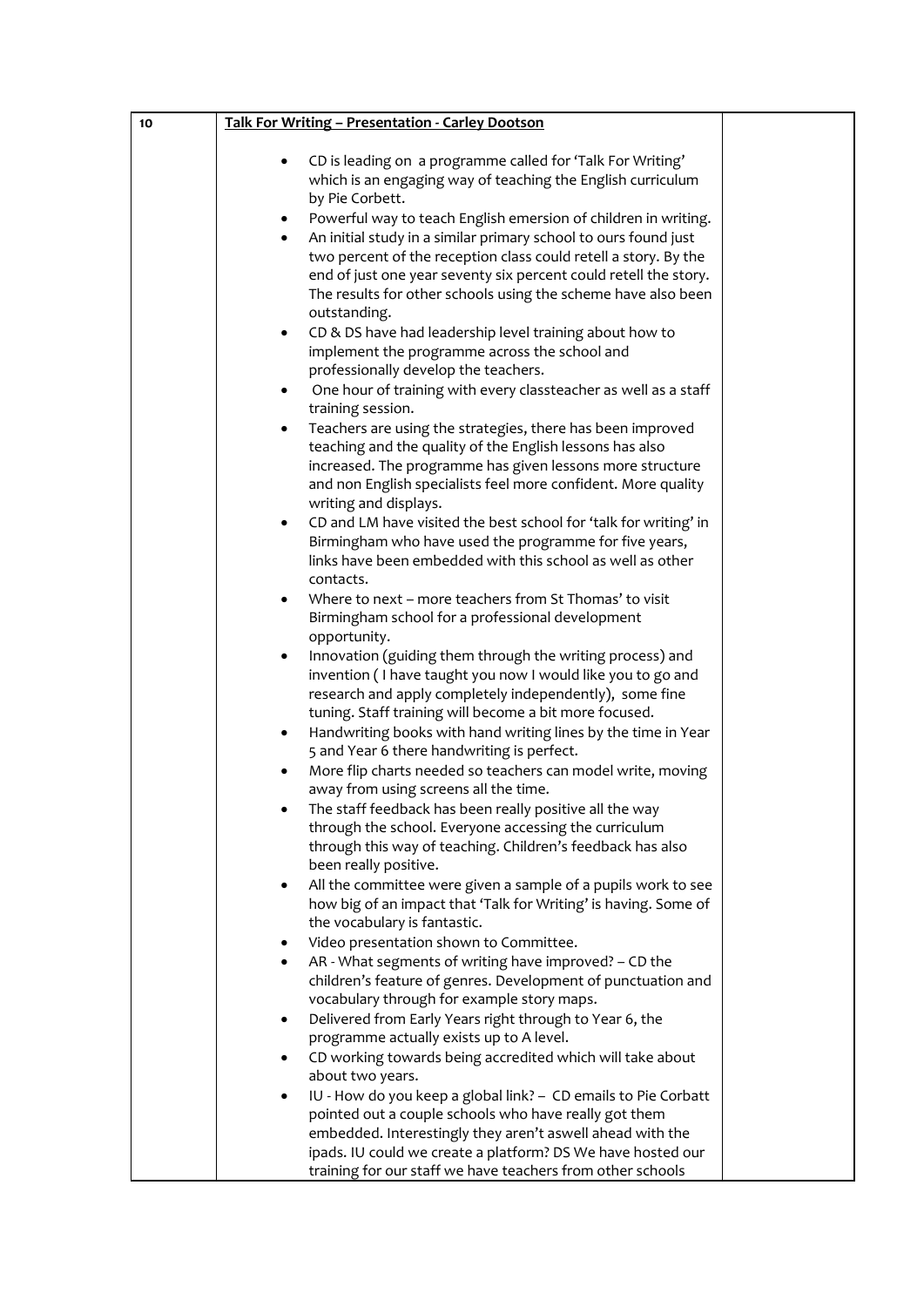| 10 | Talk For Writing - Presentation - Carley Dootson                                                                                                                                                                                                                                                                                                                    |  |
|----|---------------------------------------------------------------------------------------------------------------------------------------------------------------------------------------------------------------------------------------------------------------------------------------------------------------------------------------------------------------------|--|
|    | CD is leading on a programme called for 'Talk For Writing'<br>٠<br>which is an engaging way of teaching the English curriculum<br>by Pie Corbett.                                                                                                                                                                                                                   |  |
|    | Powerful way to teach English emersion of children in writing.<br>$\bullet$<br>An initial study in a similar primary school to ours found just<br>$\bullet$<br>two percent of the reception class could retell a story. By the<br>end of just one year seventy six percent could retell the story.<br>The results for other schools using the scheme have also been |  |
|    | outstanding.<br>CD & DS have had leadership level training about how to<br>$\bullet$<br>implement the programme across the school and                                                                                                                                                                                                                               |  |
|    | professionally develop the teachers.<br>One hour of training with every classteacher as well as a staff<br>٠<br>training session.                                                                                                                                                                                                                                   |  |
|    | Teachers are using the strategies, there has been improved<br>$\bullet$<br>teaching and the quality of the English lessons has also<br>increased. The programme has given lessons more structure<br>and non English specialists feel more confident. More quality                                                                                                   |  |
|    | writing and displays.<br>CD and LM have visited the best school for 'talk for writing' in<br>٠<br>Birmingham who have used the programme for five years,<br>links have been embedded with this school as well as other<br>contacts.                                                                                                                                 |  |
|    | Where to next - more teachers from St Thomas' to visit<br>٠<br>Birmingham school for a professional development<br>opportunity.                                                                                                                                                                                                                                     |  |
|    | Innovation (guiding them through the writing process) and<br>$\bullet$<br>invention (I have taught you now I would like you to go and<br>research and apply completely independently), some fine<br>tuning. Staff training will become a bit more focused.                                                                                                          |  |
|    | Handwriting books with hand writing lines by the time in Year<br>$\bullet$<br>5 and Year 6 there handwriting is perfect.                                                                                                                                                                                                                                            |  |
|    | More flip charts needed so teachers can model write, moving<br>$\bullet$<br>away from using screens all the time.<br>The staff feedback has been really positive all the way                                                                                                                                                                                        |  |
|    | through the school. Everyone accessing the curriculum<br>through this way of teaching. Children's feedback has also<br>been really positive.                                                                                                                                                                                                                        |  |
|    | All the committee were given a sample of a pupils work to see<br>how big of an impact that 'Talk for Writing' is having. Some of<br>the vocabulary is fantastic.                                                                                                                                                                                                    |  |
|    | Video presentation shown to Committee.<br>AR - What segments of writing have improved? - CD the<br>٠<br>children's feature of genres. Development of punctuation and<br>vocabulary through for example story maps.                                                                                                                                                  |  |
|    | Delivered from Early Years right through to Year 6, the<br>٠<br>programme actually exists up to A level.                                                                                                                                                                                                                                                            |  |
|    | CD working towards being accredited which will take about<br>about two years.<br>IU - How do you keep a global link? - CD emails to Pie Corbatt<br>٠                                                                                                                                                                                                                |  |
|    | pointed out a couple schools who have really got them<br>embedded. Interestingly they aren't aswell ahead with the                                                                                                                                                                                                                                                  |  |
|    | ipads. IU could we create a platform? DS We have hosted our<br>training for our staff we have teachers from other schools                                                                                                                                                                                                                                           |  |